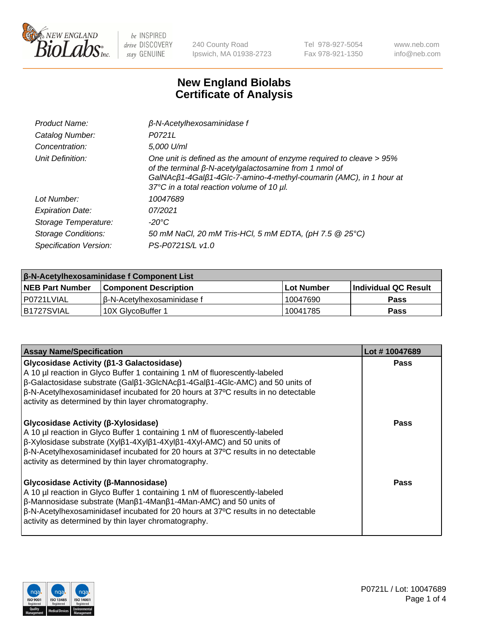

240 County Road Ipswich, MA 01938-2723 Tel 978-927-5054 Fax 978-921-1350 www.neb.com info@neb.com

## **New England Biolabs Certificate of Analysis**

| Product Name:           | $\beta$ -N-Acetylhexosaminidase f                                                                                                                                                                                                                        |
|-------------------------|----------------------------------------------------------------------------------------------------------------------------------------------------------------------------------------------------------------------------------------------------------|
| Catalog Number:         | P0721L                                                                                                                                                                                                                                                   |
| Concentration:          | 5,000 U/ml                                                                                                                                                                                                                                               |
| Unit Definition:        | One unit is defined as the amount of enzyme required to cleave > 95%<br>of the terminal $\beta$ -N-acetylgalactosamine from 1 nmol of<br>GalNAcß1-4Galß1-4Glc-7-amino-4-methyl-coumarin (AMC), in 1 hour at<br>37°C in a total reaction volume of 10 µl. |
| Lot Number:             | 10047689                                                                                                                                                                                                                                                 |
| <b>Expiration Date:</b> | 07/2021                                                                                                                                                                                                                                                  |
| Storage Temperature:    | -20°C                                                                                                                                                                                                                                                    |
| Storage Conditions:     | 50 mM NaCl, 20 mM Tris-HCl, 5 mM EDTA, (pH 7.5 @ 25°C)                                                                                                                                                                                                   |
| Specification Version:  | PS-P0721S/L v1.0                                                                                                                                                                                                                                         |

| <b>β-N-Acetylhexosaminidase f Component List</b> |                              |            |                             |  |
|--------------------------------------------------|------------------------------|------------|-----------------------------|--|
| <b>NEB Part Number</b>                           | <b>Component Description</b> | Lot Number | <b>Individual QC Result</b> |  |
| P0721LVIAL                                       | l β-N-Acetvlhexosaminidase f | 10047690   | Pass                        |  |
| IB1727SVIAL                                      | 10X GlvcoBuffer 1            | 10041785   | <b>Pass</b>                 |  |

| <b>Assay Name/Specification</b>                                                                                                                                                                                                                                                                                                                      | Lot #10047689 |
|------------------------------------------------------------------------------------------------------------------------------------------------------------------------------------------------------------------------------------------------------------------------------------------------------------------------------------------------------|---------------|
| Glycosidase Activity (β1-3 Galactosidase)<br>A 10 µl reaction in Glyco Buffer 1 containing 1 nM of fluorescently-labeled<br>β-Galactosidase substrate (Galβ1-3GlcNAcβ1-4Galβ1-4Glc-AMC) and 50 units of<br>β-N-Acetylhexosaminidasef incubated for 20 hours at 37°C results in no detectable<br>activity as determined by thin layer chromatography. | <b>Pass</b>   |
| Glycosidase Activity (β-Xylosidase)<br>A 10 µl reaction in Glyco Buffer 1 containing 1 nM of fluorescently-labeled<br>β-Xylosidase substrate (Xylβ1-4Xylβ1-4Xylβ1-4Xyl-AMC) and 50 units of<br>β-N-Acetylhexosaminidasef incubated for 20 hours at 37°C results in no detectable<br>activity as determined by thin layer chromatography.             | Pass          |
| Glycosidase Activity (β-Mannosidase)<br>A 10 µl reaction in Glyco Buffer 1 containing 1 nM of fluorescently-labeled<br>β-Mannosidase substrate (Manβ1-4Manβ1-4Man-AMC) and 50 units of<br>β-N-Acetylhexosaminidasef incubated for 20 hours at 37°C results in no detectable<br>activity as determined by thin layer chromatography.                  | <b>Pass</b>   |

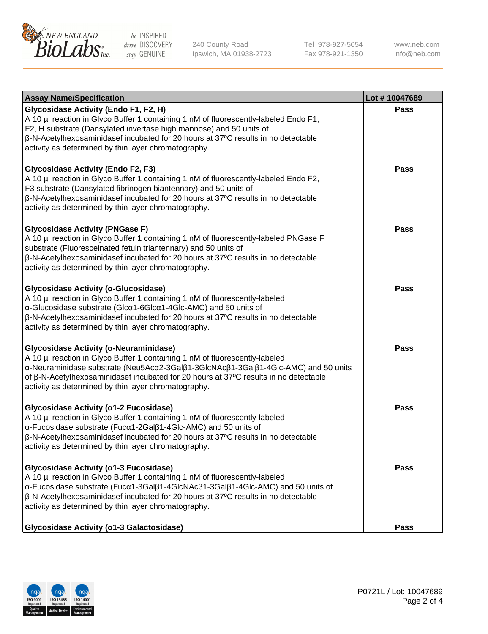

240 County Road Ipswich, MA 01938-2723 Tel 978-927-5054 Fax 978-921-1350 www.neb.com info@neb.com

| <b>Assay Name/Specification</b>                                                                                                                                                                                                                                                                                                                                        | Lot #10047689 |
|------------------------------------------------------------------------------------------------------------------------------------------------------------------------------------------------------------------------------------------------------------------------------------------------------------------------------------------------------------------------|---------------|
| Glycosidase Activity (Endo F1, F2, H)<br>A 10 µl reaction in Glyco Buffer 1 containing 1 nM of fluorescently-labeled Endo F1,<br>F2, H substrate (Dansylated invertase high mannose) and 50 units of<br>β-N-Acetylhexosaminidasef incubated for 20 hours at 37°C results in no detectable<br>activity as determined by thin layer chromatography.                      | <b>Pass</b>   |
| <b>Glycosidase Activity (Endo F2, F3)</b><br>A 10 µl reaction in Glyco Buffer 1 containing 1 nM of fluorescently-labeled Endo F2,<br>F3 substrate (Dansylated fibrinogen biantennary) and 50 units of<br>β-N-Acetylhexosaminidasef incubated for 20 hours at 37°C results in no detectable<br>activity as determined by thin layer chromatography.                     | Pass          |
| <b>Glycosidase Activity (PNGase F)</b><br>A 10 µl reaction in Glyco Buffer 1 containing 1 nM of fluorescently-labeled PNGase F<br>substrate (Fluoresceinated fetuin triantennary) and 50 units of<br>$\beta$ -N-Acetylhexosaminidasef incubated for 20 hours at 37 $\degree$ C results in no detectable<br>activity as determined by thin layer chromatography.        | <b>Pass</b>   |
| Glycosidase Activity (α-Glucosidase)<br>A 10 µl reaction in Glyco Buffer 1 containing 1 nM of fluorescently-labeled<br>α-Glucosidase substrate (Glcα1-6Glcα1-4Glc-AMC) and 50 units of<br>$\beta$ -N-Acetylhexosaminidasef incubated for 20 hours at 37 $\degree$ C results in no detectable<br>activity as determined by thin layer chromatography.                   | <b>Pass</b>   |
| Glycosidase Activity (α-Neuraminidase)<br>A 10 µl reaction in Glyco Buffer 1 containing 1 nM of fluorescently-labeled<br>α-Neuraminidase substrate (Neu5Acα2-3Galβ1-3GlcNAcβ1-3Galβ1-4Glc-AMC) and 50 units<br>of β-N-Acetylhexosaminidasef incubated for 20 hours at 37°C results in no detectable<br>activity as determined by thin layer chromatography.            | <b>Pass</b>   |
| Glycosidase Activity (α1-2 Fucosidase)<br>A 10 µl reaction in Glyco Buffer 1 containing 1 nM of fluorescently-labeled<br>α-Fucosidase substrate (Fucα1-2Galβ1-4Glc-AMC) and 50 units of<br>β-N-Acetylhexosaminidasef incubated for 20 hours at 37°C results in no detectable<br>activity as determined by thin layer chromatography.                                   | <b>Pass</b>   |
| Glycosidase Activity (α1-3 Fucosidase)<br>A 10 µl reaction in Glyco Buffer 1 containing 1 nM of fluorescently-labeled<br>α-Fucosidase substrate (Fucα1-3Galβ1-4GlcNAcβ1-3Galβ1-4Glc-AMC) and 50 units of<br>$\beta$ -N-Acetylhexosaminidasef incubated for 20 hours at 37 $\degree$ C results in no detectable<br>activity as determined by thin layer chromatography. | Pass          |
| Glycosidase Activity (a1-3 Galactosidase)                                                                                                                                                                                                                                                                                                                              | <b>Pass</b>   |

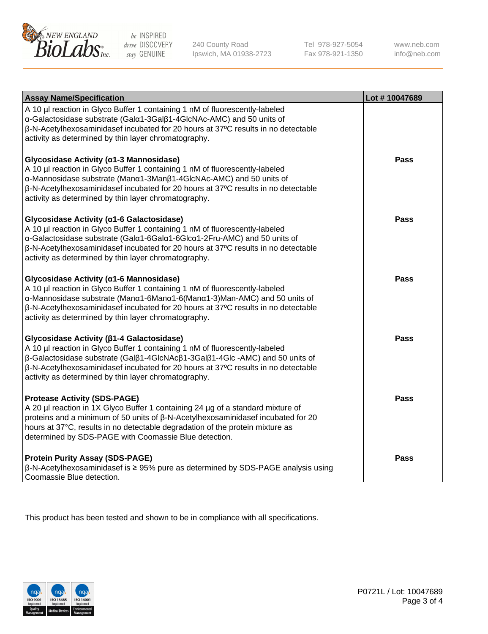

240 County Road Ipswich, MA 01938-2723 Tel 978-927-5054 Fax 978-921-1350 www.neb.com info@neb.com

| <b>Assay Name/Specification</b>                                                                                                                                                                                                                                                                                                                               | Lot #10047689 |
|---------------------------------------------------------------------------------------------------------------------------------------------------------------------------------------------------------------------------------------------------------------------------------------------------------------------------------------------------------------|---------------|
| A 10 µl reaction in Glyco Buffer 1 containing 1 nM of fluorescently-labeled<br>α-Galactosidase substrate (Galα1-3Galβ1-4GlcNAc-AMC) and 50 units of<br>β-N-Acetylhexosaminidasef incubated for 20 hours at 37°C results in no detectable<br>activity as determined by thin layer chromatography.                                                              |               |
| Glycosidase Activity (α1-3 Mannosidase)<br>A 10 µl reaction in Glyco Buffer 1 containing 1 nM of fluorescently-labeled<br>α-Mannosidase substrate (Manα1-3Manβ1-4GlcNAc-AMC) and 50 units of<br>$\beta$ -N-Acetylhexosaminidasef incubated for 20 hours at 37 $\degree$ C results in no detectable<br>activity as determined by thin layer chromatography.    | Pass          |
| Glycosidase Activity (α1-6 Galactosidase)<br>A 10 µl reaction in Glyco Buffer 1 containing 1 nM of fluorescently-labeled<br>α-Galactosidase substrate (Galα1-6Galα1-6Glcα1-2Fru-AMC) and 50 units of<br>β-N-Acetylhexosaminidasef incubated for 20 hours at 37°C results in no detectable<br>activity as determined by thin layer chromatography.             | <b>Pass</b>   |
| Glycosidase Activity (α1-6 Mannosidase)<br>A 10 µl reaction in Glyco Buffer 1 containing 1 nM of fluorescently-labeled<br>α-Mannosidase substrate (Manα1-6Manα1-6(Manα1-3)Man-AMC) and 50 units of<br>β-N-Acetylhexosaminidasef incubated for 20 hours at 37°C results in no detectable<br>activity as determined by thin layer chromatography.               | <b>Pass</b>   |
| Glycosidase Activity ( $\beta$ 1-4 Galactosidase)<br>A 10 µl reaction in Glyco Buffer 1 containing 1 nM of fluorescently-labeled<br>β-Galactosidase substrate (Galβ1-4GlcNAcβ1-3Galβ1-4Glc -AMC) and 50 units of<br>β-N-Acetylhexosaminidasef incubated for 20 hours at 37°C results in no detectable<br>activity as determined by thin layer chromatography. | <b>Pass</b>   |
| <b>Protease Activity (SDS-PAGE)</b><br>A 20 µl reaction in 1X Glyco Buffer 1 containing 24 µg of a standard mixture of<br>proteins and a minimum of 50 units of $\beta$ -N-Acetylhexosaminidasef incubated for 20<br>hours at 37°C, results in no detectable degradation of the protein mixture as<br>determined by SDS-PAGE with Coomassie Blue detection.   | <b>Pass</b>   |
| <b>Protein Purity Assay (SDS-PAGE)</b><br>ß-N-Acetylhexosaminidasef is ≥ 95% pure as determined by SDS-PAGE analysis using<br>Coomassie Blue detection.                                                                                                                                                                                                       | <b>Pass</b>   |

This product has been tested and shown to be in compliance with all specifications.